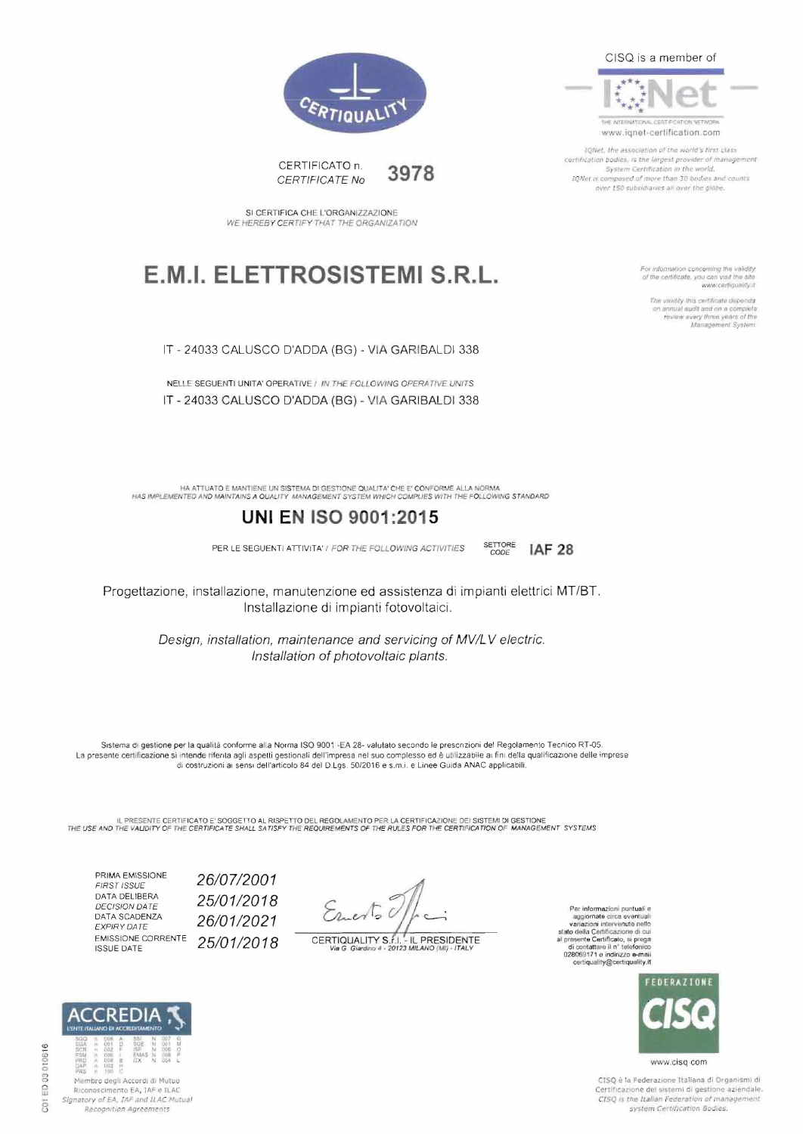

THE INTERNATIONAL CERT PICATION NET www.ignet-certification.com

IONAL the association of the world's first class certification bodies, is the largest provider of management System Certification in the world.<br>IQNet is composed of more than 30 bodies and counts over 150 subsidiaries all over the diabe.

> For information concerning the validity<br>of the certificate, you can visit the site www.certiquality.it

> > The validity this certificate depends on annual sudit and on a complete review every three years of the



CERTIFICATO n. 3978 CERTIFICATE No

SI CERTIFICA CHE L'ORGANIZZAZIONE WE HEREBY CERTIFY THAT THE ORGANIZATION

### E.M.I. ELETTROSISTEMI S.R.L.

IT - 24033 CALUSCO D'ADDA (BG) - VIA GARIBALDI 338

NELLE SEGUENTI UNITA' OPERATIVE / IN THE FOLLOWING OPERATIVE UNITS IT - 24033 CALUSCO D'ADDA (BG) - VIA GARIBALDI 338

HA ATTUATO E MANTIENE UN SISTEMA DI GESTIONE QUALITA" CHE E' CONFORME ALLA NORMA.<br>HAS IMPLEMENTED AND MAINTAINS A QUALITY MANAGEMENT SYSTEM WHICH COMPLIES WITH THE FOLLOWING STANDARD

### **UNI EN ISO 9001:2015**

PER LE SEGUENTI ATTIVITA' I FOR THE FOLLOWING ACTIVITIES

SETTORE **IAF 28** 

Progettazione, installazione, manutenzione ed assistenza di impianti elettrici MT/BT. Installazione di impianti fotovoltaici.

> Design, installation, maintenance and servicing of MV/LV electric. Installation of photovoltaic plants.

Sistema di gestione per la qualità conforme alla Norma ISO 9001-EA 28- valutato secondo le prescrizioni del Regolamento Tecnico RT-05. La presente certificazione si intende rifenta agli aspetti gestionali dell'impresa nel suo complesso ed è utilizzabile ai fini della qualificazione delle imprese<br>di costruzioni ai sensi dell'articolo 84 del D.Lgs. 50/2016

IL PRESENTE CERTIFICATO E' SOGGETTO AL RISPETTO DEL REGOLAMENTO PER LA CERTIFICAZIONE DEI SISTEMI DI GESTIONE<br>THE USE AND THE VALIDITY OF THE CERTIFICATE SHALL SATISFY THE REQUIREMENTS OF THE RULES FOR THE CERTIFICATION OF

PRIMA EMISSIONE FIRST ISSUE DATA DELIBERA **DECISION DATE** DATA SCADENZA EXPIRY DATE **EMISSIONE CORRENTE ISSUE DATE** 

26/07/2001 25/01/2018 26/01/2021 25/01/2018

Emerto 0

CERTIQUALITY S.f.I. - IL PRESIDENTE<br>Via G. Giardino 4 - 20123 MILANO (MI) - ITALY

Per informazioni puntuali e rei momazioni puntuali e algornate circa eventuali<br>variazioni intervenute nello<br>stato della Certificazione di cui presente Certificazione di cui<br>al presente Certificato, si prega<br>di contattare il nº telefonico<br>028069171 o certiquality@certiquality.it



www.cisq com

CISO è la Federazione Italiana di Organismi di Certificazione dei sistemi di gestione aziendale. CISQ is the Italian Federation of management system Certification Bodies.